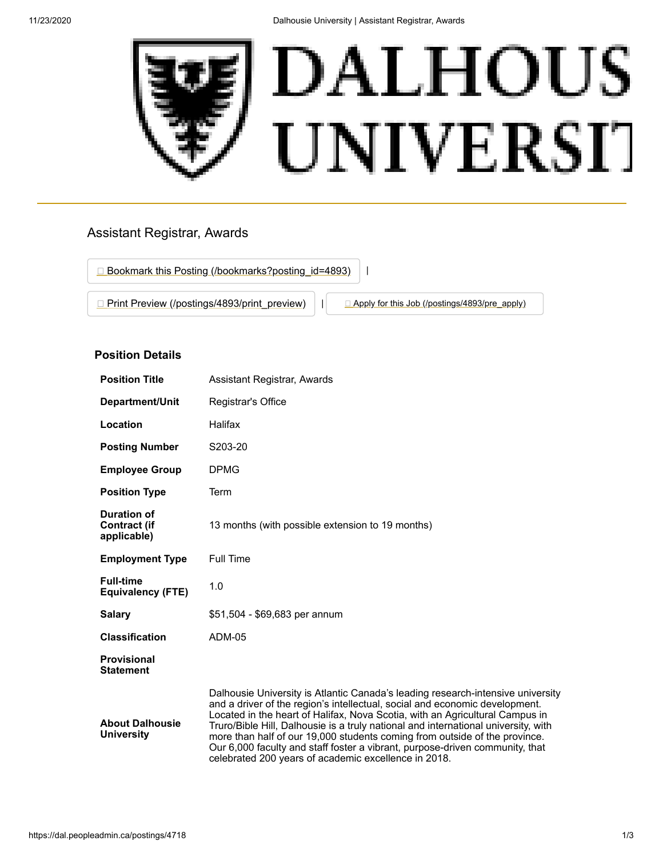

# Assistant Registrar, Awards

□ [Bookmark this Posting \(/bookmarks?posting\\_id=4893\)](https://dal.peopleadmin.ca/bookmarks?posting_id=4893) | |

**[Print Preview \(/postings/4893/print\\_preview\)](https://dal.peopleadmin.ca/postings/4893/print_preview)** | **[Apply for this Job \(/postings/4893/pre\\_apply\)](https://dal.peopleadmin.ca/postings/4893/pre_apply)** 

## **Position Details**

| <b>Position Title</b>                             | Assistant Registrar, Awards                                                                                                                                                                                                                                                                                                                                                                                                                                                                                                                                |  |
|---------------------------------------------------|------------------------------------------------------------------------------------------------------------------------------------------------------------------------------------------------------------------------------------------------------------------------------------------------------------------------------------------------------------------------------------------------------------------------------------------------------------------------------------------------------------------------------------------------------------|--|
| Department/Unit                                   | Registrar's Office                                                                                                                                                                                                                                                                                                                                                                                                                                                                                                                                         |  |
| Location                                          | Halifax                                                                                                                                                                                                                                                                                                                                                                                                                                                                                                                                                    |  |
| <b>Posting Number</b>                             | S203-20                                                                                                                                                                                                                                                                                                                                                                                                                                                                                                                                                    |  |
| <b>Employee Group</b>                             | <b>DPMG</b>                                                                                                                                                                                                                                                                                                                                                                                                                                                                                                                                                |  |
| <b>Position Type</b>                              | Term                                                                                                                                                                                                                                                                                                                                                                                                                                                                                                                                                       |  |
| Duration of<br><b>Contract (if</b><br>applicable) | 13 months (with possible extension to 19 months)                                                                                                                                                                                                                                                                                                                                                                                                                                                                                                           |  |
| <b>Employment Type</b>                            | <b>Full Time</b>                                                                                                                                                                                                                                                                                                                                                                                                                                                                                                                                           |  |
| <b>Full-time</b><br><b>Equivalency (FTE)</b>      | 1.0                                                                                                                                                                                                                                                                                                                                                                                                                                                                                                                                                        |  |
| <b>Salary</b>                                     | \$51,504 - \$69,683 per annum                                                                                                                                                                                                                                                                                                                                                                                                                                                                                                                              |  |
| <b>Classification</b>                             | <b>ADM-05</b>                                                                                                                                                                                                                                                                                                                                                                                                                                                                                                                                              |  |
| <b>Provisional</b><br><b>Statement</b>            |                                                                                                                                                                                                                                                                                                                                                                                                                                                                                                                                                            |  |
| <b>About Dalhousie</b><br><b>University</b>       | Dalhousie University is Atlantic Canada's leading research-intensive university<br>and a driver of the region's intellectual, social and economic development.<br>Located in the heart of Halifax, Nova Scotia, with an Agricultural Campus in<br>Truro/Bible Hill, Dalhousie is a truly national and international university, with<br>more than half of our 19,000 students coming from outside of the province.<br>Our 6,000 faculty and staff foster a vibrant, purpose-driven community, that<br>celebrated 200 years of academic excellence in 2018. |  |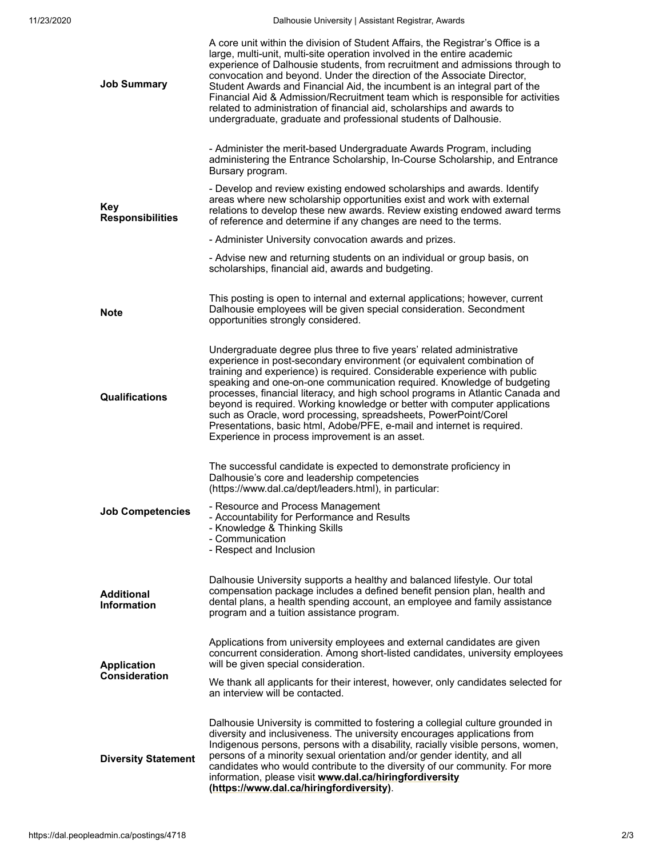| <b>Job Summary</b>                      | A core unit within the division of Student Affairs, the Registrar's Office is a<br>large, multi-unit, multi-site operation involved in the entire academic<br>experience of Dalhousie students, from recruitment and admissions through to<br>convocation and beyond. Under the direction of the Associate Director,<br>Student Awards and Financial Aid, the incumbent is an integral part of the<br>Financial Aid & Admission/Recruitment team which is responsible for activities<br>related to administration of financial aid, scholarships and awards to<br>undergraduate, graduate and professional students of Dalhousie.                                     |  |
|-----------------------------------------|-----------------------------------------------------------------------------------------------------------------------------------------------------------------------------------------------------------------------------------------------------------------------------------------------------------------------------------------------------------------------------------------------------------------------------------------------------------------------------------------------------------------------------------------------------------------------------------------------------------------------------------------------------------------------|--|
| <b>Key</b><br><b>Responsibilities</b>   | - Administer the merit-based Undergraduate Awards Program, including<br>administering the Entrance Scholarship, In-Course Scholarship, and Entrance<br>Bursary program.                                                                                                                                                                                                                                                                                                                                                                                                                                                                                               |  |
|                                         | - Develop and review existing endowed scholarships and awards. Identify<br>areas where new scholarship opportunities exist and work with external<br>relations to develop these new awards. Review existing endowed award terms<br>of reference and determine if any changes are need to the terms.                                                                                                                                                                                                                                                                                                                                                                   |  |
|                                         | - Administer University convocation awards and prizes.                                                                                                                                                                                                                                                                                                                                                                                                                                                                                                                                                                                                                |  |
|                                         | - Advise new and returning students on an individual or group basis, on<br>scholarships, financial aid, awards and budgeting.                                                                                                                                                                                                                                                                                                                                                                                                                                                                                                                                         |  |
| <b>Note</b>                             | This posting is open to internal and external applications; however, current<br>Dalhousie employees will be given special consideration. Secondment<br>opportunities strongly considered.                                                                                                                                                                                                                                                                                                                                                                                                                                                                             |  |
| <b>Qualifications</b>                   | Undergraduate degree plus three to five years' related administrative<br>experience in post-secondary environment (or equivalent combination of<br>training and experience) is required. Considerable experience with public<br>speaking and one-on-one communication required. Knowledge of budgeting<br>processes, financial literacy, and high school programs in Atlantic Canada and<br>beyond is required. Working knowledge or better with computer applications<br>such as Oracle, word processing, spreadsheets, PowerPoint/Corel<br>Presentations, basic html, Adobe/PFE, e-mail and internet is required.<br>Experience in process improvement is an asset. |  |
| <b>Job Competencies</b>                 | The successful candidate is expected to demonstrate proficiency in<br>Dalhousie's core and leadership competencies<br>(https://www.dal.ca/dept/leaders.html), in particular:<br>- Resource and Process Management<br>- Accountability for Performance and Results<br>- Knowledge & Thinking Skills<br>- Communication<br>- Respect and Inclusion                                                                                                                                                                                                                                                                                                                      |  |
| <b>Additional</b><br><b>Information</b> | Dalhousie University supports a healthy and balanced lifestyle. Our total<br>compensation package includes a defined benefit pension plan, health and<br>dental plans, a health spending account, an employee and family assistance<br>program and a tuition assistance program.                                                                                                                                                                                                                                                                                                                                                                                      |  |
| <b>Application</b><br>Consideration     | Applications from university employees and external candidates are given<br>concurrent consideration. Among short-listed candidates, university employees<br>will be given special consideration.                                                                                                                                                                                                                                                                                                                                                                                                                                                                     |  |
|                                         | We thank all applicants for their interest, however, only candidates selected for<br>an interview will be contacted.                                                                                                                                                                                                                                                                                                                                                                                                                                                                                                                                                  |  |
|                                         | Dalhousie University is committed to fostering a collegial culture grounded in<br>diversity and inclusiveness. The university encourages applications from                                                                                                                                                                                                                                                                                                                                                                                                                                                                                                            |  |
| <b>Diversity Statement</b>              | Indigenous persons, persons with a disability, racially visible persons, women,<br>persons of a minority sexual orientation and/or gender identity, and all<br>candidates who would contribute to the diversity of our community. For more<br>information, please visit www.dal.ca/hiringfordiversity<br>(https://www.dal.ca/hiringfordiversity).                                                                                                                                                                                                                                                                                                                     |  |